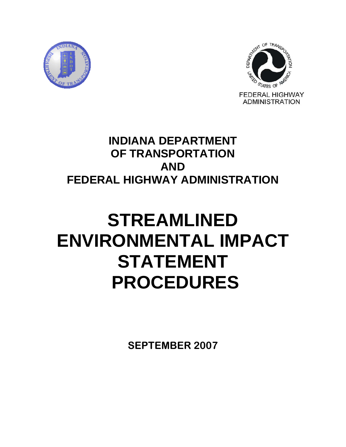



# **INDIANA DEPARTMENT OF TRANSPORTATION AND FEDERAL HIGHWAY ADMINISTRATION**

# **STREAMLINED ENVIRONMENTAL IMPACT STATEMENT PROCEDURES**

**SEPTEMBER 2007**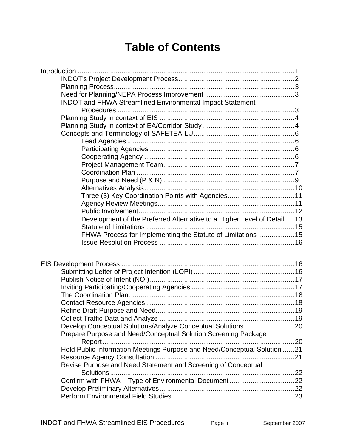# **Table of Contents**

| INDOT and FHWA Streamlined Environmental Impact Statement                |  |
|--------------------------------------------------------------------------|--|
|                                                                          |  |
|                                                                          |  |
|                                                                          |  |
|                                                                          |  |
|                                                                          |  |
|                                                                          |  |
|                                                                          |  |
|                                                                          |  |
|                                                                          |  |
|                                                                          |  |
|                                                                          |  |
| Three (3) Key Coordination Points with Agencies 11                       |  |
|                                                                          |  |
|                                                                          |  |
| Development of the Preferred Alternative to a Higher Level of Detail13   |  |
|                                                                          |  |
| FHWA Process for Implementing the Statute of Limitations  15             |  |
|                                                                          |  |
|                                                                          |  |
|                                                                          |  |
|                                                                          |  |
|                                                                          |  |
|                                                                          |  |
|                                                                          |  |
|                                                                          |  |
|                                                                          |  |
|                                                                          |  |
|                                                                          |  |
|                                                                          |  |
| Prepare Purpose and Need/Conceptual Solution Screening Package           |  |
|                                                                          |  |
| Hold Public Information Meetings Purpose and Need/Conceptual Solution 21 |  |
|                                                                          |  |
| Revise Purpose and Need Statement and Screening of Conceptual            |  |
|                                                                          |  |
|                                                                          |  |
|                                                                          |  |
|                                                                          |  |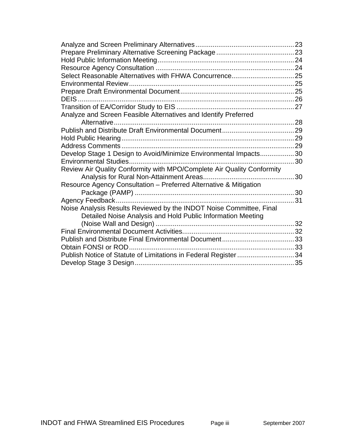| Analyze and Screen Feasible Alternatives and Identify Preferred        |    |
|------------------------------------------------------------------------|----|
|                                                                        |    |
|                                                                        |    |
|                                                                        |    |
|                                                                        |    |
| Develop Stage 1 Design to Avoid/Minimize Environmental Impacts30       |    |
|                                                                        |    |
| Review Air Quality Conformity with MPO/Complete Air Quality Conformity |    |
|                                                                        |    |
| Resource Agency Consultation - Preferred Alternative & Mitigation      |    |
|                                                                        |    |
|                                                                        | 31 |
| Noise Analysis Results Reviewed by the INDOT Noise Committee, Final    |    |
| Detailed Noise Analysis and Hold Public Information Meeting            |    |
|                                                                        |    |
|                                                                        |    |
|                                                                        |    |
|                                                                        |    |
| Publish Notice of Statute of Limitations in Federal Register 34        |    |
|                                                                        |    |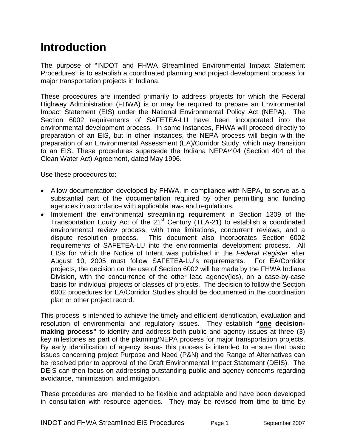# <span id="page-3-0"></span>**Introduction**

The purpose of "INDOT and FHWA Streamlined Environmental Impact Statement Procedures" is to establish a coordinated planning and project development process for major transportation projects in Indiana.

These procedures are intended primarily to address projects for which the Federal Highway Administration (FHWA) is or may be required to prepare an Environmental Impact Statement (EIS) under the National Environmental Policy Act (NEPA). The Section 6002 requirements of SAFETEA-LU have been incorporated into the environmental development process. In some instances, FHWA will proceed directly to preparation of an EIS, but in other instances, the NEPA process will begin with the preparation of an Environmental Assessment (EA)/Corridor Study, which may transition to an EIS. These procedures supersede the Indiana NEPA/404 (Section 404 of the Clean Water Act) Agreement, dated May 1996.

Use these procedures to:

- Allow documentation developed by FHWA, in compliance with NEPA, to serve as a substantial part of the documentation required by other permitting and funding agencies in accordance with applicable laws and regulations.
- Implement the environmental streamlining requirement in Section 1309 of the Transportation Equity Act of the  $21<sup>st</sup>$  Century (TEA-21) to establish a coordinated environmental review process, with time limitations, concurrent reviews, and a dispute resolution process. This document also incorporates Section 6002 requirements of SAFETEA-LU into the environmental development process. All EISs for which the Notice of Intent was published in the *Federal Register* after August 10, 2005 must follow SAFETEA-LU's requirements. For EA/Corridor projects, the decision on the use of Section 6002 will be made by the FHWA Indiana Division, with the concurrence of the other lead agency(ies), on a case-by-case basis for individual projects or classes of projects. The decision to follow the Section 6002 procedures for EA/Corridor Studies should be documented in the coordination plan or other project record.

This process is intended to achieve the timely and efficient identification, evaluation and resolution of environmental and regulatory issues. They establish **"one decisionmaking process"** to identify and address both public and agency issues at three (3) key milestones as part of the planning/NEPA process for major transportation projects. By early identification of agency issues this process is intended to ensure that basic issues concerning project Purpose and Need (P&N) and the Range of Alternatives can be resolved prior to approval of the Draft Environmental Impact Statement (DEIS). The DEIS can then focus on addressing outstanding public and agency concerns regarding avoidance, minimization, and mitigation.

These procedures are intended to be flexible and adaptable and have been developed in consultation with resource agencies. They may be revised from time to time by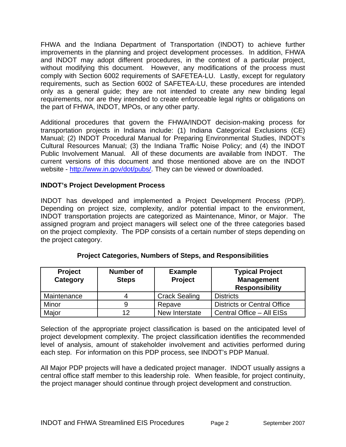<span id="page-4-0"></span>FHWA and the Indiana Department of Transportation (INDOT) to achieve further improvements in the planning and project development processes. In addition, FHWA and INDOT may adopt different procedures, in the context of a particular project, without modifying this document. However, any modifications of the process must comply with Section 6002 requirements of SAFETEA-LU. Lastly, except for regulatory requirements, such as Section 6002 of SAFETEA-LU, these procedures are intended only as a general guide; they are not intended to create any new binding legal requirements, nor are they intended to create enforceable legal rights or obligations on the part of FHWA, INDOT, MPOs, or any other party.

Additional procedures that govern the FHWA/INDOT decision-making process for transportation projects in Indiana include: (1) Indiana Categorical Exclusions (CE) Manual; (2) INDOT Procedural Manual for Preparing Environmental Studies, INDOT's Cultural Resources Manual; (3) the Indiana Traffic Noise Policy; and (4) the INDOT Public Involvement Manual. All of these documents are available from INDOT. The current versions of this document and those mentioned above are on the INDOT website -<http://www.in.gov/dot/pubs/>. They can be viewed or downloaded.

#### **INDOT's Project Development Process**

INDOT has developed and implemented a Project Development Process (PDP). Depending on project size, complexity, and/or potential impact to the environment, INDOT transportation projects are categorized as Maintenance, Minor, or Major. The assigned program and project managers will select one of the three categories based on the project complexity. The PDP consists of a certain number of steps depending on the project category.

| <b>Project</b><br>Category | <b>Number of</b><br><b>Steps</b> | <b>Example</b><br><b>Project</b> | <b>Typical Project</b><br><b>Management</b><br><b>Responsibility</b> |
|----------------------------|----------------------------------|----------------------------------|----------------------------------------------------------------------|
| Maintenance                |                                  | <b>Crack Sealing</b>             | <b>Districts</b>                                                     |
| Minor                      |                                  | Repave                           | <b>Districts or Central Office</b>                                   |
| Major                      | 12                               | New Interstate                   | Central Office - All EISs                                            |

# **Project Categories, Numbers of Steps, and Responsibilities**

Selection of the appropriate project classification is based on the anticipated level of project development complexity. The project classification identifies the recommended level of analysis, amount of stakeholder involvement and activities performed during each step. For information on this PDP process, see INDOT's PDP Manual.

All Major PDP projects will have a dedicated project manager. INDOT usually assigns a central office staff member to this leadership role. When feasible, for project continuity, the project manager should continue through project development and construction.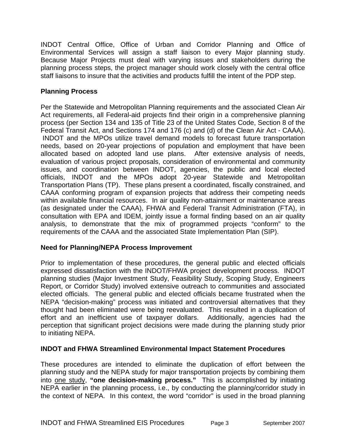<span id="page-5-0"></span>INDOT Central Office, Office of Urban and Corridor Planning and Office of Environmental Services will assign a staff liaison to every Major planning study. Because Major Projects must deal with varying issues and stakeholders during the planning process steps, the project manager should work closely with the central office staff liaisons to insure that the activities and products fulfill the intent of the PDP step.

# **Planning Process**

Per the Statewide and Metropolitan Planning requirements and the associated Clean Air Act requirements, all Federal-aid projects find their origin in a comprehensive planning process (per Section 134 and 135 of Title 23 of the United States Code, Section 8 of the Federal Transit Act, and Sections 174 and 176 (c) and (d) of the Clean Air Act - CAAA). INDOT and the MPOs utilize travel demand models to forecast future transportation needs, based on 20-year projections of population and employment that have been allocated based on adopted land use plans. After extensive analysis of needs, evaluation of various project proposals, consideration of environmental and community issues, and coordination between INDOT, agencies, the public and local elected officials, INDOT and the MPOs adopt 20-year Statewide and Metropolitan Transportation Plans (TP). These plans present a coordinated, fiscally constrained, and CAAA conforming program of expansion projects that address their competing needs within available financial resources. In air quality non-attainment or maintenance areas (as designated under the CAAA), FHWA and Federal Transit Administration (FTA), in consultation with EPA and IDEM, jointly issue a formal finding based on an air quality analysis, to demonstrate that the mix of programmed projects "conform" to the requirements of the CAAA and the associated State Implementation Plan (SIP).

# **Need for Planning/NEPA Process Improvement**

Prior to implementation of these procedures, the general public and elected officials expressed dissatisfaction with the INDOT/FHWA project development process. INDOT planning studies (Major Investment Study, Feasibility Study, Scoping Study, Engineers Report, or Corridor Study) involved extensive outreach to communities and associated elected officials. The general public and elected officials became frustrated when the NEPA "decision-making" process was initiated and controversial alternatives that they thought had been eliminated were being reevaluated. This resulted in a duplication of effort and an inefficient use of taxpayer dollars. Additionally, agencies had the perception that significant project decisions were made during the planning study prior to initiating NEPA.

# **INDOT and FHWA Streamlined Environmental Impact Statement Procedures**

These procedures are intended to eliminate the duplication of effort between the planning study and the NEPA study for major transportation projects by combining them into one study, **"one decision-making process."** This is accomplished by initiating NEPA earlier in the planning process, i.e., by conducting the planning/corridor study in the context of NEPA. In this context, the word "corridor" is used in the broad planning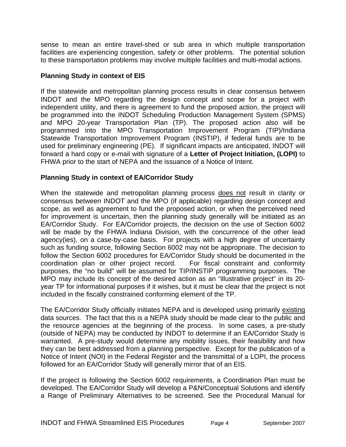<span id="page-6-0"></span>sense to mean an entire travel-shed or sub area in which multiple transportation facilities are experiencing congestion, safety or other problems. The potential solution to these transportation problems may involve multiple facilities and multi-modal actions.

# **Planning Study in context of EIS**

If the statewide and metropolitan planning process results in clear consensus between INDOT and the MPO regarding the design concept and scope for a project with independent utility, and there is agreement to fund the proposed action, the project will be programmed into the INDOT Scheduling Production Management System (SPMS) and MPO 20-year Transportation Plan (TP). The proposed action also will be programmed into the MPO Transportation Improvement Program (TIP)/Indiana Statewide Transportation Improvement Program (INSTIP), if federal funds are to be used for preliminary engineering (PE). If significant impacts are anticipated, INDOT will forward a hard copy or e-mail with signature of a **Letter of Project Initiation, (LOPI)** to FHWA prior to the start of NEPA and the issuance of a Notice of Intent.

# **Planning Study in context of EA/Corridor Study**

When the statewide and metropolitan planning process does not result in clarity or consensus between INDOT and the MPO (if applicable) regarding design concept and scope, as well as agreement to fund the proposed action, or when the perceived need for improvement is uncertain, then the planning study generally will be initiated as an EA/Corridor Study. For EA/Corridor projects, the decision on the use of Section 6002 will be made by the FHWA Indiana Division, with the concurrence of the other lead agency(ies), on a case-by-case basis. For projects with a high degree of uncertainty such as funding source, following Section 6002 may not be appropriate. The decision to follow the Section 6002 procedures for EA/Corridor Study should be documented in the coordination plan or other project record. For fiscal constraint and conformity purposes, the "no build" will be assumed for TIP/INSTIP programming purposes. The MPO may include its concept of the desired action as an "illustrative project" in its 20 year TP for informational purposes if it wishes, but it must be clear that the project is not included in the fiscally constrained conforming element of the TP.

The EA/Corridor Study officially initiates NEPA and is developed using primarily existing data sources. The fact that this is a NEPA study should be made clear to the public and the resource agencies at the beginning of the process. In some cases, a pre-study (outside of NEPA) may be conducted by INDOT to determine if an EA/Corridor Study is warranted. A pre-study would determine any mobility issues, their feasibility and how they can be best addressed from a planning perspective. Except for the publication of a Notice of Intent (NOI) in the Federal Register and the transmittal of a LOPI, the process followed for an EA/Corridor Study will generally mirror that of an EIS.

If the project is following the Section 6002 requirements, a Coordination Plan must be developed. The EA/Corridor Study will develop a P&N/Conceptual Solutions and identify a Range of Preliminary Alternatives to be screened. See the Procedural Manual for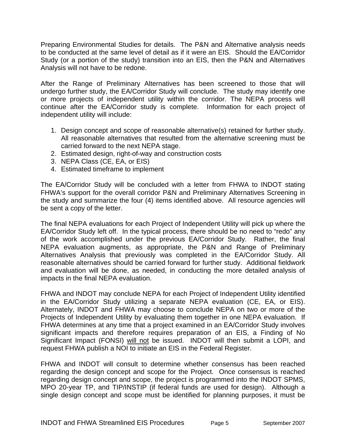Preparing Environmental Studies for details. The P&N and Alternative analysis needs to be conducted at the same level of detail as if it were an EIS. Should the EA/Corridor Study (or a portion of the study) transition into an EIS, then the P&N and Alternatives Analysis will not have to be redone.

After the Range of Preliminary Alternatives has been screened to those that will undergo further study, the EA/Corridor Study will conclude. The study may identify one or more projects of independent utility within the corridor. The NEPA process will continue after the EA/Corridor study is complete. Information for each project of independent utility will include:

- 1. Design concept and scope of reasonable alternative(s) retained for further study. All reasonable alternatives that resulted from the alternative screening must be carried forward to the next NEPA stage.
- 2. Estimated design, right-of-way and construction costs
- 3. NEPA Class (CE, EA, or EIS)
- 4. Estimated timeframe to implement

The EA/Corridor Study will be concluded with a letter from FHWA to INDOT stating FHWA's support for the overall corridor P&N and Preliminary Alternatives Screening in the study and summarize the four (4) items identified above. All resource agencies will be sent a copy of the letter.

The final NEPA evaluations for each Project of Independent Utility will pick up where the EA/Corridor Study left off. In the typical process, there should be no need to "redo" any of the work accomplished under the previous EA/Corridor Study. Rather, the final NEPA evaluation augments, as appropriate, the P&N and Range of Preliminary Alternatives Analysis that previously was completed in the EA/Corridor Study. All reasonable alternatives should be carried forward for further study. Additional fieldwork and evaluation will be done, as needed, in conducting the more detailed analysis of impacts in the final NEPA evaluation.

FHWA and INDOT may conclude NEPA for each Project of Independent Utility identified in the EA/Corridor Study utilizing a separate NEPA evaluation (CE, EA, or EIS). Alternately, INDOT and FHWA may choose to conclude NEPA on two or more of the Projects of Independent Utility by evaluating them together in one NEPA evaluation. If FHWA determines at any time that a project examined in an EA/Corridor Study involves significant impacts and therefore requires preparation of an EIS, a Finding of No Significant Impact (FONSI) will not be issued. INDOT will then submit a LOPI, and request FHWA publish a NOI to initiate an EIS in the Federal Register.

FHWA and INDOT will consult to determine whether consensus has been reached regarding the design concept and scope for the Project. Once consensus is reached regarding design concept and scope, the project is programmed into the INDOT SPMS, MPO 20-year TP, and TIP/INSTIP (if federal funds are used for design). Although a single design concept and scope must be identified for planning purposes, it must be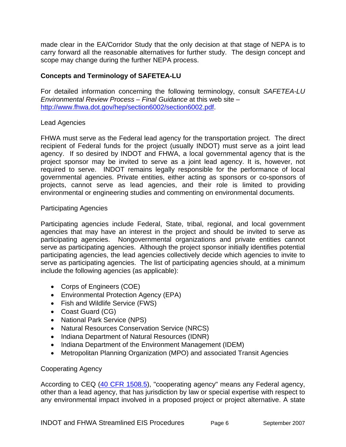<span id="page-8-0"></span>made clear in the EA/Corridor Study that the only decision at that stage of NEPA is to carry forward all the reasonable alternatives for further study. The design concept and scope may change during the further NEPA process.

# **Concepts and Terminology of SAFETEA-LU**

For detailed information concerning the following terminology, consult *SAFETEA-LU Environmental Review Process – Final Guidance* at this web site – [http://www.fhwa.dot.gov/hep/section6002/section6002.pdf.](http://www.fhwa.dot.gov/hep/section6002/section6002.pdf)

#### Lead Agencies

FHWA must serve as the Federal lead agency for the transportation project. The direct recipient of Federal funds for the project (usually INDOT) must serve as a joint lead agency. If so desired by INDOT and FHWA, a local governmental agency that is the project sponsor may be invited to serve as a joint lead agency. It is, however, not required to serve. INDOT remains legally responsible for the performance of local governmental agencies. Private entities, either acting as sponsors or co-sponsors of projects, cannot serve as lead agencies, and their role is limited to providing environmental or engineering studies and commenting on environmental documents.

#### Participating Agencies

Participating agencies include Federal, State, tribal, regional, and local government agencies that may have an interest in the project and should be invited to serve as participating agencies. Nongovernmental organizations and private entities cannot serve as participating agencies. Although the project sponsor initially identifies potential participating agencies, the lead agencies collectively decide which agencies to invite to serve as participating agencies. The list of participating agencies should, at a minimum include the following agencies (as applicable):

- Corps of Engineers (COE)
- Environmental Protection Agency (EPA)
- Fish and Wildlife Service (FWS)
- Coast Guard (CG)
- National Park Service (NPS)
- Natural Resources Conservation Service (NRCS)
- Indiana Department of Natural Resources (IDNR)
- Indiana Department of the Environment Management (IDEM)
- Metropolitan Planning Organization (MPO) and associated Transit Agencies

# Cooperating Agency

According to CEQ ([40 CFR 1508.5](http://ceq.eh.doe.gov/nepa/regs/ceq/1508.htm#1508.5)), "cooperating agency" means any Federal agency, other than a lead agency, that has jurisdiction by law or special expertise with respect to any environmental impact involved in a proposed project or project alternative. A state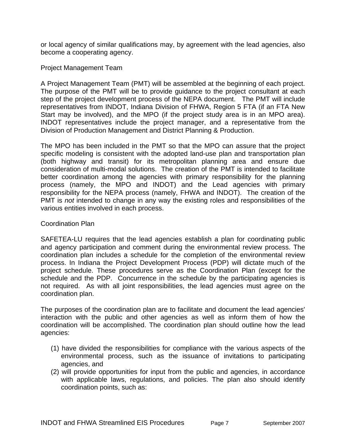<span id="page-9-0"></span>or local agency of similar qualifications may, by agreement with the lead agencies, also become a cooperating agency.

#### Project Management Team

A Project Management Team (PMT) will be assembled at the beginning of each project. The purpose of the PMT will be to provide guidance to the project consultant at each step of the project development process of the NEPA document. The PMT will include representatives from INDOT, Indiana Division of FHWA, Region 5 FTA (if an FTA New Start may be involved), and the MPO (if the project study area is in an MPO area). INDOT representatives include the project manager, and a representative from the Division of Production Management and District Planning & Production.

The MPO has been included in the PMT so that the MPO can assure that the project specific modeling is consistent with the adopted land-use plan and transportation plan (both highway and transit) for its metropolitan planning area and ensure due consideration of multi-modal solutions. The creation of the PMT is intended to facilitate better coordination among the agencies with primary responsibility for the planning process (namely, the MPO and INDOT) and the Lead agencies with primary responsibility for the NEPA process (namely, FHWA and INDOT). The creation of the PMT is *not* intended to change in any way the existing roles and responsibilities of the various entities involved in each process.

#### Coordination Plan

SAFETEA-LU requires that the lead agencies establish a plan for coordinating public and agency participation and comment during the environmental review process. The coordination plan includes a schedule for the completion of the environmental review process. In Indiana the Project Development Process (PDP) will dictate much of the project schedule. These procedures serve as the Coordination Plan (except for the schedule and the PDP. Concurrence in the schedule by the participating agencies is not required. As with all joint responsibilities, the lead agencies must agree on the coordination plan.

The purposes of the coordination plan are to facilitate and document the lead agencies' interaction with the public and other agencies as well as inform them of how the coordination will be accomplished. The coordination plan should outline how the lead agencies:

- (1) have divided the responsibilities for compliance with the various aspects of the environmental process, such as the issuance of invitations to participating agencies, and
- (2) will provide opportunities for input from the public and agencies, in accordance with applicable laws, regulations, and policies. The plan also should identify coordination points, such as: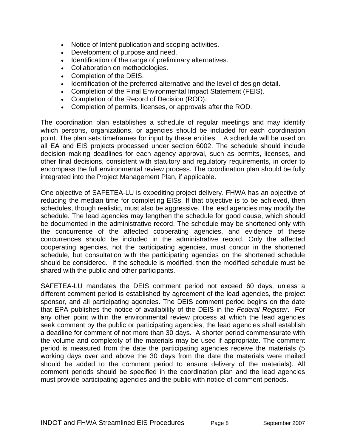- Notice of Intent publication and scoping activities.
- Development of purpose and need.
- Identification of the range of preliminary alternatives.
- Collaboration on methodologies.
- Completion of the DEIS.
- Identification of the preferred alternative and the level of design detail.
- Completion of the Final Environmental Impact Statement (FEIS).
- Completion of the Record of Decision (ROD).
- Completion of permits, licenses, or approvals after the ROD.

The coordination plan establishes a schedule of regular meetings and may identify which persons, organizations, or agencies should be included for each coordination point. The plan sets timeframes for input by these entities. A schedule will be used on all EA and EIS projects processed under section 6002. The schedule should include decision making deadlines for each agency approval, such as permits, licenses, and other final decisions, consistent with statutory and regulatory requirements, in order to encompass the full environmental review process. The coordination plan should be fully integrated into the Project Management Plan, if applicable.

One objective of SAFETEA-LU is expediting project delivery. FHWA has an objective of reducing the median time for completing EISs. If that objective is to be achieved, then schedules, though realistic, must also be aggressive. The lead agencies may modify the schedule. The lead agencies may lengthen the schedule for good cause, which should be documented in the administrative record. The schedule may be shortened only with the concurrence of the affected cooperating agencies, and evidence of these concurrences should be included in the administrative record. Only the affected cooperating agencies, not the participating agencies, must concur in the shortened schedule, but consultation with the participating agencies on the shortened schedule should be considered. If the schedule is modified, then the modified schedule must be shared with the public and other participants.

SAFETEA-LU mandates the DEIS comment period not exceed 60 days, unless a different comment period is established by agreement of the lead agencies, the project sponsor, and all participating agencies. The DEIS comment period begins on the date that EPA publishes the notice of availability of the DEIS in the *Federal Register*. For any other point within the environmental review process at which the lead agencies seek comment by the public or participating agencies, the lead agencies shall establish a deadline for comment of not more than 30 days. A shorter period commensurate with the volume and complexity of the materials may be used if appropriate. The comment period is measured from the date the participating agencies receive the materials (5 working days over and above the 30 days from the date the materials were mailed should be added to the comment period to ensure delivery of the materials). All comment periods should be specified in the coordination plan and the lead agencies must provide participating agencies and the public with notice of comment periods.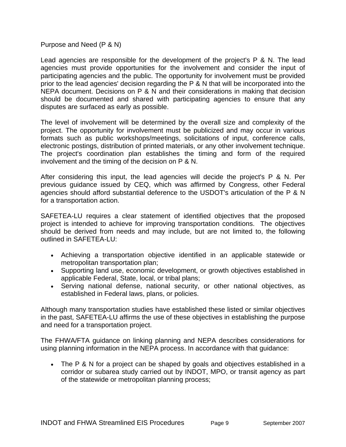<span id="page-11-0"></span>Purpose and Need (P & N)

Lead agencies are responsible for the development of the project's P & N. The lead agencies must provide opportunities for the involvement and consider the input of participating agencies and the public. The opportunity for involvement must be provided prior to the lead agencies' decision regarding the P & N that will be incorporated into the NEPA document. Decisions on P & N and their considerations in making that decision should be documented and shared with participating agencies to ensure that any disputes are surfaced as early as possible.

The level of involvement will be determined by the overall size and complexity of the project. The opportunity for involvement must be publicized and may occur in various formats such as public workshops/meetings, solicitations of input, conference calls, electronic postings, distribution of printed materials, or any other involvement technique. The project's coordination plan establishes the timing and form of the required involvement and the timing of the decision on P & N.

After considering this input, the lead agencies will decide the project's P & N. Per previous guidance issued by CEQ, which was affirmed by Congress, other Federal agencies should afford substantial deference to the USDOT's articulation of the P & N for a transportation action.

SAFETEA-LU requires a clear statement of identified objectives that the proposed project is intended to achieve for improving transportation conditions. The objectives should be derived from needs and may include, but are not limited to, the following outlined in SAFETEA-LU:

- Achieving a transportation objective identified in an applicable statewide or metropolitan transportation plan;
- Supporting land use, economic development, or growth objectives established in applicable Federal, State, local, or tribal plans;
- Serving national defense, national security, or other national objectives, as established in Federal laws, plans, or policies.

Although many transportation studies have established these listed or similar objectives in the past, SAFETEA-LU affirms the use of these objectives in establishing the purpose and need for a transportation project.

The FHWA/FTA guidance on linking planning and NEPA describes considerations for using planning information in the NEPA process. In accordance with that guidance:

• The P & N for a project can be shaped by goals and objectives established in a corridor or subarea study carried out by INDOT, MPO, or transit agency as part of the statewide or metropolitan planning process;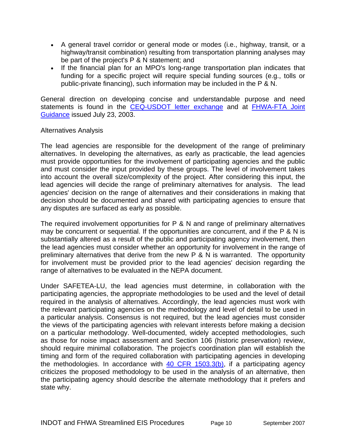- <span id="page-12-0"></span>• A general travel corridor or general mode or modes (i.e., highway, transit, or a highway/transit combination) resulting from transportation planning analyses may be part of the project's P & N statement; and
- If the financial plan for an MPO's long-range transportation plan indicates that funding for a specific project will require special funding sources (e.g., tolls or public-private financing), such information may be included in the P & N.

General direction on developing concise and understandable purpose and need statements is found in the [CEQ-USDOT letter exchange](http://www.environment.fhwa.dot.gov/guidebook/Ginterim.asp) and at FHWA-FTA Joint [Guidance](http://www.environment.fhwa.dot.gov/guidebook/Gjoint.asp) issued July 23, 2003.

#### Alternatives Analysis

The lead agencies are responsible for the development of the range of preliminary alternatives. In developing the alternatives, as early as practicable, the lead agencies must provide opportunities for the involvement of participating agencies and the public and must consider the input provided by these groups. The level of involvement takes into account the overall size/complexity of the project. After considering this input, the lead agencies will decide the range of preliminary alternatives for analysis. The lead agencies' decision on the range of alternatives and their considerations in making that decision should be documented and shared with participating agencies to ensure that any disputes are surfaced as early as possible.

The required involvement opportunities for P & N and range of preliminary alternatives may be concurrent or sequential. If the opportunities are concurrent, and if the P & N is substantially altered as a result of the public and participating agency involvement, then the lead agencies must consider whether an opportunity for involvement in the range of preliminary alternatives that derive from the new  $P$  & N is warranted. The opportunity for involvement must be provided prior to the lead agencies' decision regarding the range of alternatives to be evaluated in the NEPA document.

Under SAFETEA-LU, the lead agencies must determine, in collaboration with the participating agencies, the appropriate methodologies to be used and the level of detail required in the analysis of alternatives. Accordingly, the lead agencies must work with the relevant participating agencies on the methodology and level of detail to be used in a particular analysis. Consensus is not required, but the lead agencies must consider the views of the participating agencies with relevant interests before making a decision on a particular methodology. Well-documented, widely accepted methodologies, such as those for noise impact assessment and Section 106 (historic preservation) review, should require minimal collaboration. The project's coordination plan will establish the timing and form of the required collaboration with participating agencies in developing the methodologies. In accordance with [40 CFR 1503.3\(b\)](http://ceq.eh.doe.gov/nepa/regs/ceq/1503.htm#1503.3), if a participating agency criticizes the proposed methodology to be used in the analysis of an alternative, then the participating agency should describe the alternate methodology that it prefers and state why.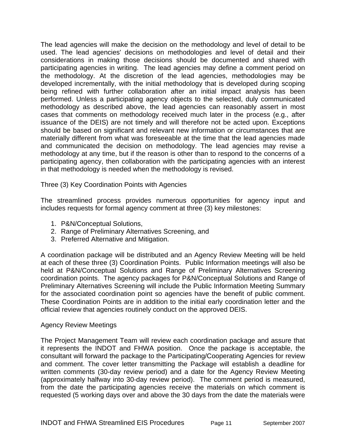<span id="page-13-0"></span>The lead agencies will make the decision on the methodology and level of detail to be used. The lead agencies' decisions on methodologies and level of detail and their considerations in making those decisions should be documented and shared with participating agencies in writing. The lead agencies may define a comment period on the methodology. At the discretion of the lead agencies, methodologies may be developed incrementally, with the initial methodology that is developed during scoping being refined with further collaboration after an initial impact analysis has been performed. Unless a participating agency objects to the selected, duly communicated methodology as described above, the lead agencies can reasonably assert in most cases that comments on methodology received much later in the process (e.g., after issuance of the DEIS) are not timely and will therefore not be acted upon. Exceptions should be based on significant and relevant new information or circumstances that are materially different from what was foreseeable at the time that the lead agencies made and communicated the decision on methodology. The lead agencies may revise a methodology at any time, but if the reason is other than to respond to the concerns of a participating agency, then collaboration with the participating agencies with an interest in that methodology is needed when the methodology is revised.

Three (3) Key Coordination Points with Agencies

The streamlined process provides numerous opportunities for agency input and includes requests for formal agency comment at three (3) key milestones:

- 1. P&N/Conceptual Solutions,
- 2. Range of Preliminary Alternatives Screening, and
- 3. Preferred Alternative and Mitigation.

A coordination package will be distributed and an Agency Review Meeting will be held at each of these three (3) Coordination Points. Public Information meetings will also be held at P&N/Conceptual Solutions and Range of Preliminary Alternatives Screening coordination points. The agency packages for P&N/Conceptual Solutions and Range of Preliminary Alternatives Screening will include the Public Information Meeting Summary for the associated coordination point so agencies have the benefit of public comment. These Coordination Points are in addition to the initial early coordination letter and the official review that agencies routinely conduct on the approved DEIS.

#### Agency Review Meetings

The Project Management Team will review each coordination package and assure that it represents the INDOT and FHWA position. Once the package is acceptable, the consultant will forward the package to the Participating/Cooperating Agencies for review and comment. The cover letter transmitting the Package will establish a deadline for written comments (30-day review period) and a date for the Agency Review Meeting (approximately halfway into 30-day review period). The comment period is measured, from the date the participating agencies receive the materials on which comment is requested (5 working days over and above the 30 days from the date the materials were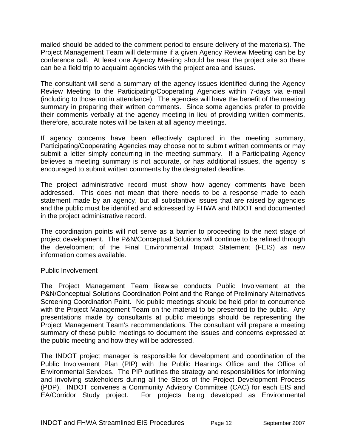<span id="page-14-0"></span>mailed should be added to the comment period to ensure delivery of the materials). The Project Management Team will determine if a given Agency Review Meeting can be by conference call. At least one Agency Meeting should be near the project site so there can be a field trip to acquaint agencies with the project area and issues.

The consultant will send a summary of the agency issues identified during the Agency Review Meeting to the Participating/Cooperating Agencies within 7-days via e-mail (including to those not in attendance). The agencies will have the benefit of the meeting summary in preparing their written comments. Since some agencies prefer to provide their comments verbally at the agency meeting in lieu of providing written comments, therefore, accurate notes will be taken at all agency meetings.

If agency concerns have been effectively captured in the meeting summary, Participating/Cooperating Agencies may choose not to submit written comments or may submit a letter simply concurring in the meeting summary. If a Participating Agency believes a meeting summary is not accurate, or has additional issues, the agency is encouraged to submit written comments by the designated deadline.

The project administrative record must show how agency comments have been addressed. This does not mean that there needs to be a response made to each statement made by an agency, but all substantive issues that are raised by agencies and the public must be identified and addressed by FHWA and INDOT and documented in the project administrative record.

The coordination points will not serve as a barrier to proceeding to the next stage of project development. The P&N/Conceptual Solutions will continue to be refined through the development of the Final Environmental Impact Statement (FEIS) as new information comes available.

#### Public Involvement

The Project Management Team likewise conducts Public Involvement at the P&N/Conceptual Solutions Coordination Point and the Range of Preliminary Alternatives Screening Coordination Point. No public meetings should be held prior to concurrence with the Project Management Team on the material to be presented to the public. Any presentations made by consultants at public meetings should be representing the Project Management Team's recommendations. The consultant will prepare a meeting summary of these public meetings to document the issues and concerns expressed at the public meeting and how they will be addressed.

The INDOT project manager is responsible for development and coordination of the Public Involvement Plan (PIP) with the Public Hearings Office and the Office of Environmental Services. The PIP outlines the strategy and responsibilities for informing and involving stakeholders during all the Steps of the Project Development Process (PDP). INDOT convenes a Community Advisory Committee (CAC) for each EIS and EA/Corridor Study project. For projects being developed as Environmental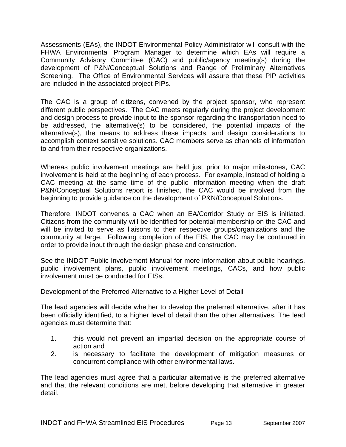<span id="page-15-0"></span>Assessments (EAs), the INDOT Environmental Policy Administrator will consult with the FHWA Environmental Program Manager to determine which EAs will require a Community Advisory Committee (CAC) and public/agency meeting(s) during the development of P&N/Conceptual Solutions and Range of Preliminary Alternatives Screening. The Office of Environmental Services will assure that these PIP activities are included in the associated project PIPs.

The CAC is a group of citizens, convened by the project sponsor, who represent different public perspectives. The CAC meets regularly during the project development and design process to provide input to the sponsor regarding the transportation need to be addressed, the alternative(s) to be considered, the potential impacts of the alternative(s), the means to address these impacts, and design considerations to accomplish context sensitive solutions. CAC members serve as channels of information to and from their respective organizations.

Whereas public involvement meetings are held just prior to major milestones, CAC involvement is held at the beginning of each process. For example, instead of holding a CAC meeting at the same time of the public information meeting when the draft P&N/Conceptual Solutions report is finished, the CAC would be involved from the beginning to provide guidance on the development of P&N/Conceptual Solutions.

Therefore, INDOT convenes a CAC when an EA/Corridor Study or EIS is initiated. Citizens from the community will be identified for potential membership on the CAC and will be invited to serve as liaisons to their respective groups/organizations and the community at large. Following completion of the EIS, the CAC may be continued in order to provide input through the design phase and construction.

See the INDOT Public Involvement Manual for more information about public hearings, public involvement plans, public involvement meetings, CACs, and how public involvement must be conducted for EISs.

Development of the Preferred Alternative to a Higher Level of Detail

The lead agencies will decide whether to develop the preferred alternative, after it has been officially identified, to a higher level of detail than the other alternatives. The lead agencies must determine that:

- 1. this would not prevent an impartial decision on the appropriate course of action and
- 2. is necessary to facilitate the development of mitigation measures or concurrent compliance with other environmental laws.

The lead agencies must agree that a particular alternative is the preferred alternative and that the relevant conditions are met, before developing that alternative in greater detail.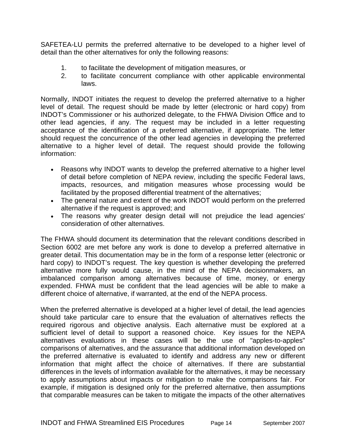SAFETEA-LU permits the preferred alternative to be developed to a higher level of detail than the other alternatives for only the following reasons:

- 1. to facilitate the development of mitigation measures, or
- 2. to facilitate concurrent compliance with other applicable environmental laws.

Normally, INDOT initiates the request to develop the preferred alternative to a higher level of detail. The request should be made by letter (electronic or hard copy) from INDOT's Commissioner or his authorized delegate, to the FHWA Division Office and to other lead agencies, if any. The request may be included in a letter requesting acceptance of the identification of a preferred alternative, if appropriate. The letter should request the concurrence of the other lead agencies in developing the preferred alternative to a higher level of detail. The request should provide the following information:

- Reasons why INDOT wants to develop the preferred alternative to a higher level of detail before completion of NEPA review, including the specific Federal laws, impacts, resources, and mitigation measures whose processing would be facilitated by the proposed differential treatment of the alternatives;
- The general nature and extent of the work INDOT would perform on the preferred alternative if the request is approved; and
- The reasons why greater design detail will not prejudice the lead agencies' consideration of other alternatives.

The FHWA should document its determination that the relevant conditions described in Section 6002 are met before any work is done to develop a preferred alternative in greater detail. This documentation may be in the form of a response letter (electronic or hard copy) to INDOT's request. The key question is whether developing the preferred alternative more fully would cause, in the mind of the NEPA decisionmakers, an imbalanced comparison among alternatives because of time, money, or energy expended. FHWA must be confident that the lead agencies will be able to make a different choice of alternative, if warranted, at the end of the NEPA process.

When the preferred alternative is developed at a higher level of detail, the lead agencies should take particular care to ensure that the evaluation of alternatives reflects the required rigorous and objective analysis. Each alternative must be explored at a sufficient level of detail to support a reasoned choice. Key issues for the NEPA alternatives evaluations in these cases will be the use of "apples-to-apples" comparisons of alternatives, and the assurance that additional information developed on the preferred alternative is evaluated to identify and address any new or different information that might affect the choice of alternatives. If there are substantial differences in the levels of information available for the alternatives, it may be necessary to apply assumptions about impacts or mitigation to make the comparisons fair. For example, if mitigation is designed only for the preferred alternative, then assumptions that comparable measures can be taken to mitigate the impacts of the other alternatives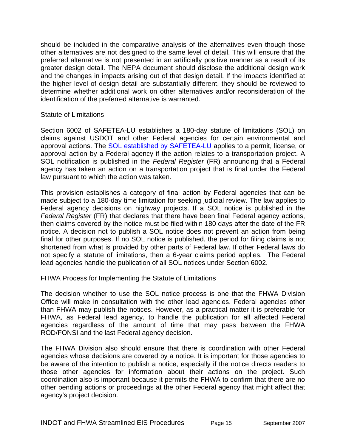<span id="page-17-0"></span>should be included in the comparative analysis of the alternatives even though those other alternatives are not designed to the same level of detail. This will ensure that the preferred alternative is not presented in an artificially positive manner as a result of its greater design detail. The NEPA document should disclose the additional design work and the changes in impacts arising out of that design detail. If the impacts identified at the higher level of design detail are substantially different, they should be reviewed to determine whether additional work on other alternatives and/or reconsideration of the identification of the preferred alternative is warranted.

#### Statute of Limitations

Section 6002 of SAFETEA-LU establishes a 180-day statute of limitations (SOL) on claims against USDOT and other Federal agencies for certain environmental and approval actions. The [SOL established by SAFETEA-LU](http://www.fhwa.dot.gov/hep/section6002/appx.htm#LimitationsOnClaims) applies to a permit, license, or approval action by a Federal agency if the action relates to a transportation project. A SOL notification is published in the *Federal Register* (FR) announcing that a Federal agency has taken an action on a transportation project that is final under the Federal law pursuant to which the action was taken.

This provision establishes a category of final action by Federal agencies that can be made subject to a 180-day time limitation for seeking judicial review. The law applies to Federal agency decisions on highway projects. If a SOL notice is published in the *Federal Register* (FR) that declares that there have been final Federal agency actions, then claims covered by the notice must be filed within 180 days after the date of the FR notice. A decision not to publish a SOL notice does not prevent an action from being final for other purposes. If no SOL notice is published, the period for filing claims is not shortened from what is provided by other parts of Federal law. If other Federal laws do not specify a statute of limitations, then a 6-year claims period applies. The Federal lead agencies handle the publication of all SOL notices under Section 6002.

FHWA Process for Implementing the Statute of Limitations

The decision whether to use the SOL notice process is one that the FHWA Division Office will make in consultation with the other lead agencies. Federal agencies other than FHWA may publish the notices. However, as a practical matter it is preferable for FHWA, as Federal lead agency, to handle the publication for all affected Federal agencies regardless of the amount of time that may pass between the FHWA ROD/FONSI and the last Federal agency decision.

The FHWA Division also should ensure that there is coordination with other Federal agencies whose decisions are covered by a notice. It is important for those agencies to be aware of the intention to publish a notice, especially if the notice directs readers to those other agencies for information about their actions on the project. Such coordination also is important because it permits the FHWA to confirm that there are no other pending actions or proceedings at the other Federal agency that might affect that agency's project decision.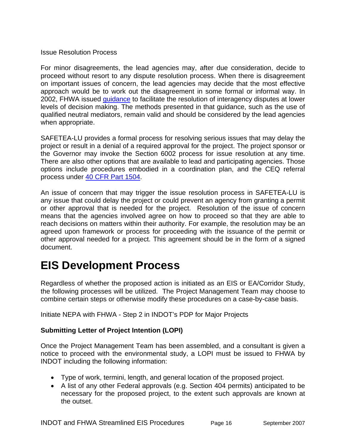#### <span id="page-18-0"></span>Issue Resolution Process

For minor disagreements, the lead agencies may, after due consideration, decide to proceed without resort to any dispute resolution process. When there is disagreement on important issues of concern, the lead agencies may decide that the most effective approach would be to work out the disagreement in some formal or informal way. In 2002, FHWA issued [guidance](http://www.environment.fhwa.dot.gov/strmlng/adrguide/index.asp) to facilitate the resolution of interagency disputes at lower levels of decision making. The methods presented in that guidance, such as the use of qualified neutral mediators, remain valid and should be considered by the lead agencies when appropriate.

SAFETEA-LU provides a formal process for resolving serious issues that may delay the project or result in a denial of a required approval for the project. The project sponsor or the Governor may invoke the Section 6002 process for issue resolution at any time. There are also other options that are available to lead and participating agencies. Those options include procedures embodied in a coordination plan, and the CEQ referral process under [40 CFR Part 1504](http://ceq.eh.doe.gov/nepa/regs/ceq/1504.htm).

An issue of concern that may trigger the issue resolution process in SAFETEA-LU is any issue that could delay the project or could prevent an agency from granting a permit or other approval that is needed for the project. Resolution of the issue of concern means that the agencies involved agree on how to proceed so that they are able to reach decisions on matters within their authority. For example, the resolution may be an agreed upon framework or process for proceeding with the issuance of the permit or other approval needed for a project. This agreement should be in the form of a signed document.

# **EIS Development Process**

Regardless of whether the proposed action is initiated as an EIS or EA/Corridor Study, the following processes will be utilized. The Project Management Team may choose to combine certain steps or otherwise modify these procedures on a case-by-case basis.

Initiate NEPA with FHWA - Step 2 in INDOT's PDP for Major Projects

# **Submitting Letter of Project Intention (LOPI)**

Once the Project Management Team has been assembled, and a consultant is given a notice to proceed with the environmental study, a LOPI must be issued to FHWA by INDOT including the following information:

- Type of work, termini, length, and general location of the proposed project.
- A list of any other Federal approvals (e.g. Section 404 permits) anticipated to be necessary for the proposed project, to the extent such approvals are known at the outset.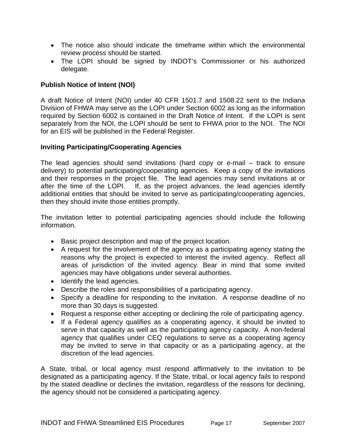- <span id="page-19-0"></span>• The notice also should indicate the timeframe within which the environmental review process should be started.
- The LOPI should be signed by INDOT's Commissioner or his authorized delegate.

# **Publish Notice of Intent (NOI)**

A draft Notice of Intent (NOI) under 40 CFR 1501.7 and 1508.22 sent to the Indiana Division of FHWA may serve as the LOPI under Section 6002 as long as the information required by Section 6002 is contained in the Draft Notice of Intent. If the LOPI is sent separately from the NOI, the LOPI should be sent to FHWA prior to the NOI. The NOI for an EIS will be published in the Federal Register.

# **Inviting Participating/Cooperating Agencies**

The lead agencies should send invitations (hard copy or e-mail – track to ensure delivery) to potential participating/cooperating agencies. Keep a copy of the invitations and their responses in the project file. The lead agencies may send invitations at or after the time of the LOPI. If, as the project advances, the lead agencies identify additional entities that should be invited to serve as participating/cooperating agencies, then they should invite those entities promptly.

The invitation letter to potential participating agencies should include the following information.

- Basic project description and map of the project location.
- A request for the involvement of the agency as a participating agency stating the reasons why the project is expected to interest the invited agency. Reflect all areas of jurisdiction of the invited agency. Bear in mind that some invited agencies may have obligations under several authorities.
- Identify the lead agencies.
- Describe the roles and responsibilities of a participating agency.
- Specify a deadline for responding to the invitation. A response deadline of no more than 30 days is suggested.
- Request a response either accepting or declining the role of participating agency.
- If a Federal agency qualifies as a cooperating agency, it should be invited to serve in that capacity as well as the participating agency capacity. A non-federal agency that qualifies under CEQ regulations to serve as a cooperating agency may be invited to serve in that capacity or as a participating agency, at the discretion of the lead agencies.

A State, tribal, or local agency must respond affirmatively to the invitation to be designated as a participating agency. If the State, tribal, or local agency fails to respond by the stated deadline or declines the invitation, regardless of the reasons for declining, the agency should not be considered a participating agency.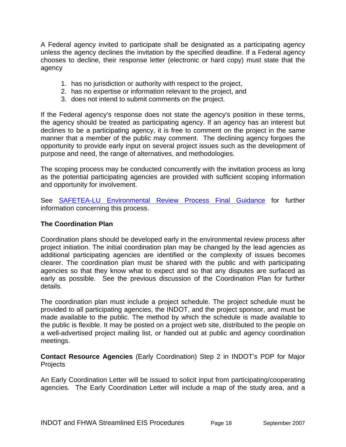<span id="page-20-0"></span>A Federal agency invited to participate shall be designated as a participating agency unless the agency declines the invitation by the specified deadline. If a Federal agency chooses to decline, their response letter (electronic or hard copy) must state that the agency

- 1. has no jurisdiction or authority with respect to the project,
- 2. has no expertise or information relevant to the project, and
- 3. does not intend to submit comments on the project.

If the Federal agency's response does not state the agency's position in these terms, the agency should be treated as participating agency. If an agency has an interest but declines to be a participating agency, it is free to comment on the project in the same manner that a member of the public may comment. The declining agency forgoes the opportunity to provide early input on several project issues such as the development of purpose and need, the range of alternatives, and methodologies.

The scoping process may be conducted concurrently with the invitation process as long as the potential participating agencies are provided with sufficient scoping information and opportunity for involvement.

See [SAFETEA-LU Environmental Review Process Final Guidance](http://www.fhwa.dot.gov/hep/section6002/1.htm#Toc148770572) for further information concerning this process.

#### **The Coordination Plan**

Coordination plans should be developed early in the environmental review process after project initiation. The initial coordination plan may be changed by the lead agencies as additional participating agencies are identified or the complexity of issues becomes clearer. The coordination plan must be shared with the public and with participating agencies so that they know what to expect and so that any disputes are surfaced as early as possible. See the previous discussion of the Coordination Plan for further details.

The coordination plan must include a project schedule. The project schedule must be provided to all participating agencies, the INDOT, and the project sponsor, and must be made available to the public. The method by which the schedule is made available to the public is flexible. It may be posted on a project web site, distributed to the people on a well-advertised project mailing list, or handed out at public and agency coordination meetings.

**Contact Resource Agencies** (Early Coordination) Step 2 in INDOT's PDP for Major **Projects** 

An Early Coordination Letter will be issued to solicit input from participating/cooperating agencies. The Early Coordination Letter will include a map of the study area, and a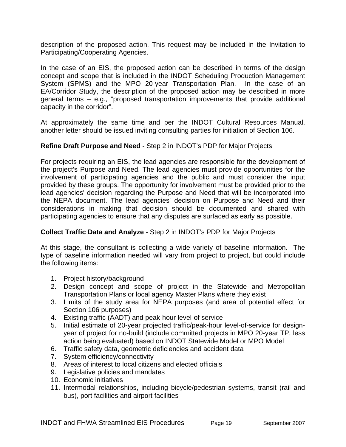<span id="page-21-0"></span>description of the proposed action. This request may be included in the Invitation to Participating/Cooperating Agencies.

In the case of an EIS, the proposed action can be described in terms of the design concept and scope that is included in the INDOT Scheduling Production Management System (SPMS) and the MPO 20-year Transportation Plan. In the case of an EA/Corridor Study, the description of the proposed action may be described in more general terms – e.g., "proposed transportation improvements that provide additional capacity in the corridor".

At approximately the same time and per the INDOT Cultural Resources Manual, another letter should be issued inviting consulting parties for initiation of Section 106.

# **Refine Draft Purpose and Need** - Step 2 in INDOT's PDP for Major Projects

For projects requiring an EIS, the lead agencies are responsible for the development of the project's Purpose and Need. The lead agencies must provide opportunities for the involvement of participating agencies and the public and must consider the input provided by these groups. The opportunity for involvement must be provided prior to the lead agencies' decision regarding the Purpose and Need that will be incorporated into the NEPA document. The lead agencies' decision on Purpose and Need and their considerations in making that decision should be documented and shared with participating agencies to ensure that any disputes are surfaced as early as possible.

# **Collect Traffic Data and Analyze** - Step 2 in INDOT's PDP for Major Projects

At this stage, the consultant is collecting a wide variety of baseline information. The type of baseline information needed will vary from project to project, but could include the following items:

- 1. Project history/background
- 2. Design concept and scope of project in the Statewide and Metropolitan Transportation Plans or local agency Master Plans where they exist
- 3. Limits of the study area for NEPA purposes (and area of potential effect for Section 106 purposes)
- 4. Existing traffic (AADT) and peak-hour level-of service
- 5. Initial estimate of 20-year projected traffic/peak-hour level-of-service for designyear of project for no-build (include committed projects in MPO 20-year TP, less action being evaluated) based on INDOT Statewide Model or MPO Model
- 6. Traffic safety data, geometric deficiencies and accident data
- 7. System efficiency/connectivity
- 8. Areas of interest to local citizens and elected officials
- 9. Legislative policies and mandates
- 10. Economic initiatives
- 11. Intermodal relationships, including bicycle/pedestrian systems, transit (rail and bus), port facilities and airport facilities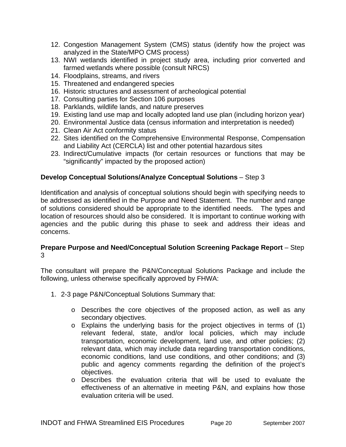- <span id="page-22-0"></span>12. Congestion Management System (CMS) status (identify how the project was analyzed in the State/MPO CMS process)
- 13. NWI wetlands identified in project study area, including prior converted and farmed wetlands where possible (consult NRCS)
- 14. Floodplains, streams, and rivers
- 15. Threatened and endangered species
- 16. Historic structures and assessment of archeological potential
- 17. Consulting parties for Section 106 purposes
- 18. Parklands, wildlife lands, and nature preserves
- 19. Existing land use map and locally adopted land use plan (including horizon year)
- 20. Environmental Justice data (census information and interpretation is needed)
- 21. Clean Air Act conformity status
- 22. Sites identified on the Comprehensive Environmental Response, Compensation and Liability Act (CERCLA) list and other potential hazardous sites
- 23. Indirect/Cumulative impacts (for certain resources or functions that may be "significantly" impacted by the proposed action)

#### **Develop Conceptual Solutions/Analyze Conceptual Solutions** – Step 3

Identification and analysis of conceptual solutions should begin with specifying needs to be addressed as identified in the Purpose and Need Statement. The number and range of solutions considered should be appropriate to the identified needs. The types and location of resources should also be considered. It is important to continue working with agencies and the public during this phase to seek and address their ideas and concerns.

#### **Prepare Purpose and Need/Conceptual Solution Screening Package Report** – Step 3

The consultant will prepare the P&N/Conceptual Solutions Package and include the following, unless otherwise specifically approved by FHWA:

- 1. 2-3 page P&N/Conceptual Solutions Summary that:
	- o Describes the core objectives of the proposed action, as well as any secondary objectives.
	- o Explains the underlying basis for the project objectives in terms of (1) relevant federal, state, and/or local policies, which may include transportation, economic development, land use, and other policies; (2) relevant data, which may include data regarding transportation conditions, economic conditions, land use conditions, and other conditions; and (3) public and agency comments regarding the definition of the project's objectives.
	- o Describes the evaluation criteria that will be used to evaluate the effectiveness of an alternative in meeting P&N, and explains how those evaluation criteria will be used.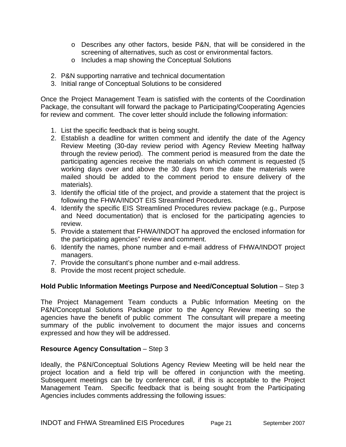- <span id="page-23-0"></span>o Describes any other factors, beside P&N, that will be considered in the screening of alternatives, such as cost or environmental factors.
- o Includes a map showing the Conceptual Solutions
- 2. P&N supporting narrative and technical documentation
- 3. Initial range of Conceptual Solutions to be considered

Once the Project Management Team is satisfied with the contents of the Coordination Package, the consultant will forward the package to Participating/Cooperating Agencies for review and comment. The cover letter should include the following information:

- 1. List the specific feedback that is being sought.
- 2. Establish a deadline for written comment and identify the date of the Agency Review Meeting (30-day review period with Agency Review Meeting halfway through the review period). The comment period is measured from the date the participating agencies receive the materials on which comment is requested (5 working days over and above the 30 days from the date the materials were mailed should be added to the comment period to ensure delivery of the materials).
- 3. Identify the official title of the project, and provide a statement that the project is following the FHWA/INDOT EIS Streamlined Procedures.
- 4. Identify the specific EIS Streamlined Procedures review package (e.g., Purpose and Need documentation) that is enclosed for the participating agencies to review.
- 5. Provide a statement that FHWA/INDOT ha approved the enclosed information for the participating agencies" review and comment.
- 6. Identify the names, phone number and e-mail address of FHWA/INDOT project managers.
- 7. Provide the consultant's phone number and e-mail address.
- 8. Provide the most recent project schedule.

# **Hold Public Information Meetings Purpose and Need/Conceptual Solution** – Step 3

The Project Management Team conducts a Public Information Meeting on the P&N/Conceptual Solutions Package prior to the Agency Review meeting so the agencies have the benefit of public comment The consultant will prepare a meeting summary of the public involvement to document the major issues and concerns expressed and how they will be addressed.

#### **Resource Agency Consultation – Step 3**

Ideally, the P&N/Conceptual Solutions Agency Review Meeting will be held near the project location and a field trip will be offered in conjunction with the meeting. Subsequent meetings can be by conference call, if this is acceptable to the Project Management Team. Specific feedback that is being sought from the Participating Agencies includes comments addressing the following issues: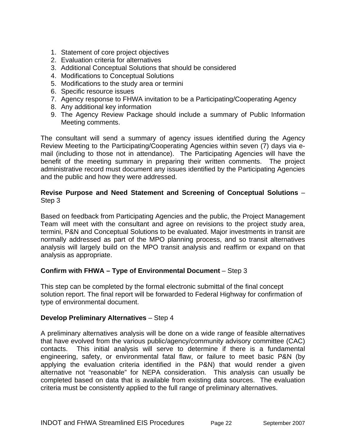- <span id="page-24-0"></span>1. Statement of core project objectives
- 2. Evaluation criteria for alternatives
- 3. Additional Conceptual Solutions that should be considered
- 4. Modifications to Conceptual Solutions
- 5. Modifications to the study area or termini
- 6. Specific resource issues
- 7. Agency response to FHWA invitation to be a Participating/Cooperating Agency
- 8. Any additional key information
- 9. The Agency Review Package should include a summary of Public Information Meeting comments.

The consultant will send a summary of agency issues identified during the Agency Review Meeting to the Participating/Cooperating Agencies within seven (7) days via email (including to those not in attendance). The Participating Agencies will have the benefit of the meeting summary in preparing their written comments. The project administrative record must document any issues identified by the Participating Agencies and the public and how they were addressed.

#### **Revise Purpose and Need Statement and Screening of Conceptual Solutions** – Step 3

Based on feedback from Participating Agencies and the public, the Project Management Team will meet with the consultant and agree on revisions to the project study area, termini, P&N and Conceptual Solutions to be evaluated. Major investments in transit are normally addressed as part of the MPO planning process, and so transit alternatives analysis will largely build on the MPO transit analysis and reaffirm or expand on that analysis as appropriate.

# **Confirm with FHWA – Type of Environmental Document** – Step 3

This step can be completed by the formal electronic submittal of the final concept solution report. The final report will be forwarded to Federal Highway for confirmation of type of environmental document.

#### **Develop Preliminary Alternatives** – Step 4

A preliminary alternatives analysis will be done on a wide range of feasible alternatives that have evolved from the various public/agency/community advisory committee (CAC) contacts. This initial analysis will serve to determine if there is a fundamental engineering, safety, or environmental fatal flaw, or failure to meet basic P&N (by applying the evaluation criteria identified in the P&N) that would render a given alternative not "reasonable" for NEPA consideration. This analysis can usually be completed based on data that is available from existing data sources. The evaluation criteria must be consistently applied to the full range of preliminary alternatives.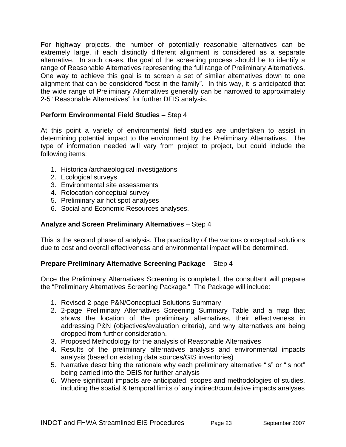<span id="page-25-0"></span>For highway projects, the number of potentially reasonable alternatives can be extremely large, if each distinctly different alignment is considered as a separate alternative. In such cases, the goal of the screening process should be to identify a range of Reasonable Alternatives representing the full range of Preliminary Alternatives. One way to achieve this goal is to screen a set of similar alternatives down to one alignment that can be considered "best in the family". In this way, it is anticipated that the wide range of Preliminary Alternatives generally can be narrowed to approximately 2-5 "Reasonable Alternatives" for further DEIS analysis.

# **Perform Environmental Field Studies** – Step 4

At this point a variety of environmental field studies are undertaken to assist in determining potential impact to the environment by the Preliminary Alternatives. The type of information needed will vary from project to project, but could include the following items:

- 1. Historical/archaeological investigations
- 2. Ecological surveys
- 3. Environmental site assessments
- 4. Relocation conceptual survey
- 5. Preliminary air hot spot analyses
- 6. Social and Economic Resources analyses.

#### **Analyze and Screen Preliminary Alternatives** – Step 4

This is the second phase of analysis. The practicality of the various conceptual solutions due to cost and overall effectiveness and environmental impact will be determined.

#### **Prepare Preliminary Alternative Screening Package** – Step 4

Once the Preliminary Alternatives Screening is completed, the consultant will prepare the "Preliminary Alternatives Screening Package." The Package will include:

- 1. Revised 2-page P&N/Conceptual Solutions Summary
- 2. 2-page Preliminary Alternatives Screening Summary Table and a map that shows the location of the preliminary alternatives, their effectiveness in addressing P&N (objectives/evaluation criteria), and why alternatives are being dropped from further consideration.
- 3. Proposed Methodology for the analysis of Reasonable Alternatives
- 4. Results of the preliminary alternatives analysis and environmental impacts analysis (based on existing data sources/GIS inventories)
- 5. Narrative describing the rationale why each preliminary alternative "is" or "is not" being carried into the DEIS for further analysis
- 6. Where significant impacts are anticipated, scopes and methodologies of studies, including the spatial & temporal limits of any indirect/cumulative impacts analyses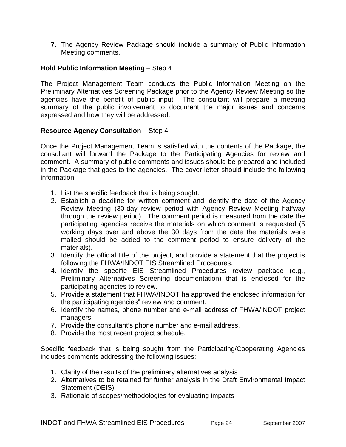<span id="page-26-0"></span>7. The Agency Review Package should include a summary of Public Information Meeting comments.

### **Hold Public Information Meeting – Step 4**

The Project Management Team conducts the Public Information Meeting on the Preliminary Alternatives Screening Package prior to the Agency Review Meeting so the agencies have the benefit of public input. The consultant will prepare a meeting summary of the public involvement to document the major issues and concerns expressed and how they will be addressed.

#### **Resource Agency Consultation** – Step 4

Once the Project Management Team is satisfied with the contents of the Package, the consultant will forward the Package to the Participating Agencies for review and comment. A summary of public comments and issues should be prepared and included in the Package that goes to the agencies. The cover letter should include the following information:

- 1. List the specific feedback that is being sought.
- 2. Establish a deadline for written comment and identify the date of the Agency Review Meeting (30-day review period with Agency Review Meeting halfway through the review period). The comment period is measured from the date the participating agencies receive the materials on which comment is requested (5 working days over and above the 30 days from the date the materials were mailed should be added to the comment period to ensure delivery of the materials).
- 3. Identify the official title of the project, and provide a statement that the project is following the FHWA/INDOT EIS Streamlined Procedures.
- 4. Identify the specific EIS Streamlined Procedures review package (e.g., Preliminary Alternatives Screening documentation) that is enclosed for the participating agencies to review.
- 5. Provide a statement that FHWA/INDOT ha approved the enclosed information for the participating agencies" review and comment.
- 6. Identify the names, phone number and e-mail address of FHWA/INDOT project managers.
- 7. Provide the consultant's phone number and e-mail address.
- 8. Provide the most recent project schedule.

Specific feedback that is being sought from the Participating/Cooperating Agencies includes comments addressing the following issues:

- 1. Clarity of the results of the preliminary alternatives analysis
- 2. Alternatives to be retained for further analysis in the Draft Environmental Impact Statement (DEIS)
- 3. Rationale of scopes/methodologies for evaluating impacts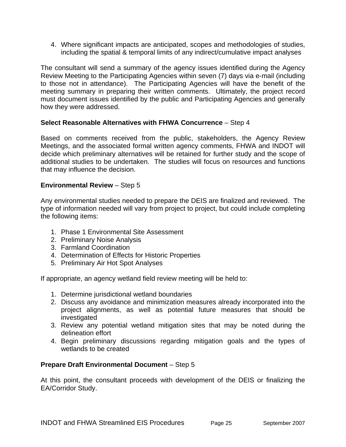<span id="page-27-0"></span>4. Where significant impacts are anticipated, scopes and methodologies of studies, including the spatial & temporal limits of any indirect/cumulative impact analyses

The consultant will send a summary of the agency issues identified during the Agency Review Meeting to the Participating Agencies within seven (7) days via e-mail (including to those not in attendance). The Participating Agencies will have the benefit of the meeting summary in preparing their written comments. Ultimately, the project record must document issues identified by the public and Participating Agencies and generally how they were addressed.

# **Select Reasonable Alternatives with FHWA Concurrence** – Step 4

Based on comments received from the public, stakeholders, the Agency Review Meetings, and the associated formal written agency comments, FHWA and INDOT will decide which preliminary alternatives will be retained for further study and the scope of additional studies to be undertaken. The studies will focus on resources and functions that may influence the decision.

#### **Environmental Review** – Step 5

Any environmental studies needed to prepare the DEIS are finalized and reviewed. The type of information needed will vary from project to project, but could include completing the following items:

- 1. Phase 1 Environmental Site Assessment
- 2. Preliminary Noise Analysis
- 3. Farmland Coordination
- 4. Determination of Effects for Historic Properties
- 5. Preliminary Air Hot Spot Analyses

If appropriate, an agency wetland field review meeting will be held to:

- 1. Determine jurisdictional wetland boundaries
- 2. Discuss any avoidance and minimization measures already incorporated into the project alignments, as well as potential future measures that should be investigated
- 3. Review any potential wetland mitigation sites that may be noted during the delineation effort
- 4. Begin preliminary discussions regarding mitigation goals and the types of wetlands to be created

# **Prepare Draft Environmental Document** – Step 5

At this point, the consultant proceeds with development of the DEIS or finalizing the EA/Corridor Study.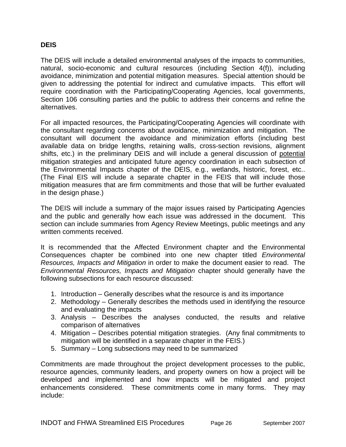### <span id="page-28-0"></span>**DEIS**

The DEIS will include a detailed environmental analyses of the impacts to communities, natural, socio-economic and cultural resources (including Section 4(f)), including avoidance, minimization and potential mitigation measures. Special attention should be given to addressing the potential for indirect and cumulative impacts. This effort will require coordination with the Participating/Cooperating Agencies, local governments, Section 106 consulting parties and the public to address their concerns and refine the alternatives.

For all impacted resources, the Participating/Cooperating Agencies will coordinate with the consultant regarding concerns about avoidance, minimization and mitigation. The consultant will document the avoidance and minimization efforts (including best available data on bridge lengths, retaining walls, cross-section revisions, alignment shifts, etc.) in the preliminary DEIS and will include a general discussion of potential mitigation strategies and anticipated future agency coordination in each subsection of the Environmental Impacts chapter of the DEIS, e.g., wetlands, historic, forest, etc.. (The Final EIS will include a separate chapter in the FEIS that will include those mitigation measures that are firm commitments and those that will be further evaluated in the design phase.)

The DEIS will include a summary of the major issues raised by Participating Agencies and the public and generally how each issue was addressed in the document. This section can include summaries from Agency Review Meetings, public meetings and any written comments received.

It is recommended that the Affected Environment chapter and the Environmental Consequences chapter be combined into one new chapter titled *Environmental Resources, Impacts and Mitigation* in order to make the document easier to read. The *Environmental Resources, Impacts and Mitigation* chapter should generally have the following subsections for each resource discussed:

- 1. Introduction Generally describes what the resource is and its importance
- 2. Methodology Generally describes the methods used in identifying the resource and evaluating the impacts
- 3. Analysis Describes the analyses conducted, the results and relative comparison of alternatives
- 4. Mitigation Describes potential mitigation strategies. (Any final commitments to mitigation will be identified in a separate chapter in the FEIS.)
- 5. Summary Long subsections may need to be summarized

Commitments are made throughout the project development processes to the public, resource agencies, community leaders, and property owners on how a project will be developed and implemented and how impacts will be mitigated and project enhancements considered. These commitments come in many forms. They may include: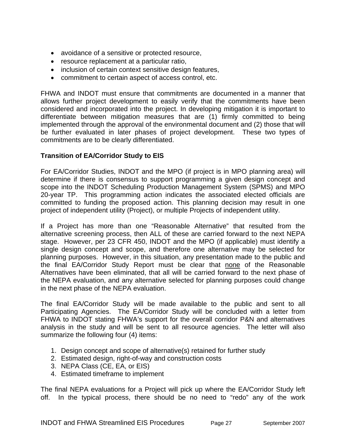- <span id="page-29-0"></span>• avoidance of a sensitive or protected resource,
- resource replacement at a particular ratio,
- inclusion of certain context sensitive design features,
- commitment to certain aspect of access control, etc.

FHWA and INDOT must ensure that commitments are documented in a manner that allows further project development to easily verify that the commitments have been considered and incorporated into the project. In developing mitigation it is important to differentiate between mitigation measures that are (1) firmly committed to being implemented through the approval of the environmental document and (2) those that will be further evaluated in later phases of project development. These two types of commitments are to be clearly differentiated.

#### **Transition of EA/Corridor Study to EIS**

For EA/Corridor Studies, INDOT and the MPO (if project is in MPO planning area) will determine if there is consensus to support programming a given design concept and scope into the INDOT Scheduling Production Management System (SPMS) and MPO 20-year TP. This programming action indicates the associated elected officials are committed to funding the proposed action. This planning decision may result in one project of independent utility (Project), or multiple Projects of independent utility.

If a Project has more than one "Reasonable Alternative" that resulted from the alternative screening process, then ALL of these are carried forward to the next NEPA stage. However, per 23 CFR 450, INDOT and the MPO (if applicable) must identify a single design concept and scope, and therefore one alternative may be selected for planning purposes. However, in this situation, any presentation made to the public and the final EA/Corridor Study Report must be clear that none of the Reasonable Alternatives have been eliminated, that all will be carried forward to the next phase of the NEPA evaluation, and any alternative selected for planning purposes could change in the next phase of the NEPA evaluation.

The final EA/Corridor Study will be made available to the public and sent to all Participating Agencies. The EA/Corridor Study will be concluded with a letter from FHWA to INDOT stating FHWA's support for the overall corridor P&N and alternatives analysis in the study and will be sent to all resource agencies. The letter will also summarize the following four (4) items:

- 1. Design concept and scope of alternative(s) retained for further study
- 2. Estimated design, right-of-way and construction costs
- 3. NEPA Class (CE, EA, or EIS)
- 4. Estimated timeframe to implement

The final NEPA evaluations for a Project will pick up where the EA/Corridor Study left off. In the typical process, there should be no need to "redo" any of the work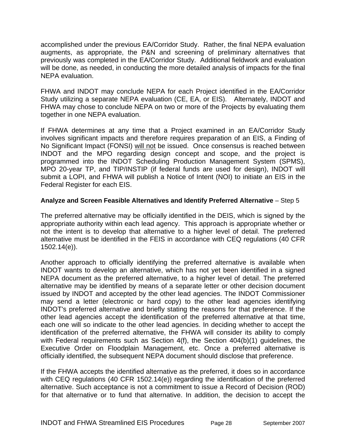<span id="page-30-0"></span>accomplished under the previous EA/Corridor Study. Rather, the final NEPA evaluation augments, as appropriate, the P&N and screening of preliminary alternatives that previously was completed in the EA/Corridor Study. Additional fieldwork and evaluation will be done, as needed, in conducting the more detailed analysis of impacts for the final NEPA evaluation.

FHWA and INDOT may conclude NEPA for each Project identified in the EA/Corridor Study utilizing a separate NEPA evaluation (CE, EA, or EIS). Alternately, INDOT and FHWA may chose to conclude NEPA on two or more of the Projects by evaluating them together in one NEPA evaluation.

If FHWA determines at any time that a Project examined in an EA/Corridor Study involves significant impacts and therefore requires preparation of an EIS, a Finding of No Significant Impact (FONSI) will not be issued. Once consensus is reached between INDOT and the MPO regarding design concept and scope, and the project is programmed into the INDOT Scheduling Production Management System (SPMS), MPO 20-year TP, and TIP/INSTIP (if federal funds are used for design), INDOT will submit a LOPI, and FHWA will publish a Notice of Intent (NOI) to initiate an EIS in the Federal Register for each EIS.

#### **Analyze and Screen Feasible Alternatives and Identify Preferred Alternative** – Step 5

The preferred alternative may be officially identified in the DEIS, which is signed by the appropriate authority within each lead agency. This approach is appropriate whether or not the intent is to develop that alternative to a higher level of detail. The preferred alternative must be identified in the FEIS in accordance with CEQ regulations (40 CFR 1502.14(e)).

Another approach to officially identifying the preferred alternative is available when INDOT wants to develop an alternative, which has not yet been identified in a signed NEPA document as the preferred alternative, to a higher level of detail. The preferred alternative may be identified by means of a separate letter or other decision document issued by INDOT and accepted by the other lead agencies. The INDOT Commissioner may send a letter (electronic or hard copy) to the other lead agencies identifying INDOT's preferred alternative and briefly stating the reasons for that preference. If the other lead agencies accept the identification of the preferred alternative at that time, each one will so indicate to the other lead agencies. In deciding whether to accept the identification of the preferred alternative, the FHWA will consider its ability to comply with Federal requirements such as Section 4(f), the Section 404(b)(1) guidelines, the Executive Order on Floodplain Management, etc. Once a preferred alternative is officially identified, the subsequent NEPA document should disclose that preference.

If the FHWA accepts the identified alternative as the preferred, it does so in accordance with CEQ regulations (40 CFR 1502.14(e)) regarding the identification of the preferred alternative. Such acceptance is not a commitment to issue a Record of Decision (ROD) for that alternative or to fund that alternative. In addition, the decision to accept the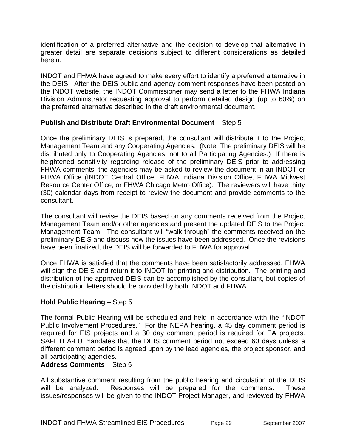<span id="page-31-0"></span>identification of a preferred alternative and the decision to develop that alternative in greater detail are separate decisions subject to different considerations as detailed herein.

INDOT and FHWA have agreed to make every effort to identify a preferred alternative in the DEIS. After the DEIS public and agency comment responses have been posted on the INDOT website, the INDOT Commissioner may send a letter to the FHWA Indiana Division Administrator requesting approval to perform detailed design (up to 60%) on the preferred alternative described in the draft environmental document.

#### **Publish and Distribute Draft Environmental Document** – Step 5

Once the preliminary DEIS is prepared, the consultant will distribute it to the Project Management Team and any Cooperating Agencies. (Note: The preliminary DEIS will be distributed only to Cooperating Agencies, not to all Participating Agencies.) If there is heightened sensitivity regarding release of the preliminary DEIS prior to addressing FHWA comments, the agencies may be asked to review the document in an INDOT or FHWA Office (INDOT Central Office, FHWA Indiana Division Office, FHWA Midwest Resource Center Office, or FHWA Chicago Metro Office). The reviewers will have thirty (30) calendar days from receipt to review the document and provide comments to the consultant.

The consultant will revise the DEIS based on any comments received from the Project Management Team and/or other agencies and present the updated DEIS to the Project Management Team. The consultant will "walk through" the comments received on the preliminary DEIS and discuss how the issues have been addressed. Once the revisions have been finalized, the DEIS will be forwarded to FHWA for approval.

Once FHWA is satisfied that the comments have been satisfactorily addressed, FHWA will sign the DEIS and return it to INDOT for printing and distribution. The printing and distribution of the approved DEIS can be accomplished by the consultant, but copies of the distribution letters should be provided by both INDOT and FHWA.

# **Hold Public Hearing** – Step 5

The formal Public Hearing will be scheduled and held in accordance with the "INDOT Public Involvement Procedures." For the NEPA hearing, a 45 day comment period is required for EIS projects and a 30 day comment period is required for EA projects. SAFETEA-LU mandates that the DEIS comment period not exceed 60 days unless a different comment period is agreed upon by the lead agencies, the project sponsor, and all participating agencies.

# **Address Comments** – Step 5

All substantive comment resulting from the public hearing and circulation of the DEIS will be analyzed. Responses will be prepared for the comments. These issues/responses will be given to the INDOT Project Manager, and reviewed by FHWA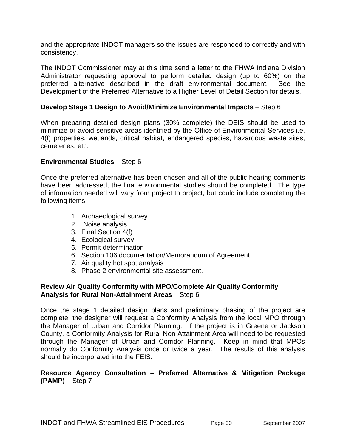<span id="page-32-0"></span>and the appropriate INDOT managers so the issues are responded to correctly and with consistency.

The INDOT Commissioner may at this time send a letter to the FHWA Indiana Division Administrator requesting approval to perform detailed design (up to 60%) on the preferred alternative described in the draft environmental document. See the Development of the Preferred Alternative to a Higher Level of Detail Section for details.

#### **Develop Stage 1 Design to Avoid/Minimize Environmental Impacts** – Step 6

When preparing detailed design plans (30% complete) the DEIS should be used to minimize or avoid sensitive areas identified by the Office of Environmental Services i.e. 4(f) properties, wetlands, critical habitat, endangered species, hazardous waste sites, cemeteries, etc.

#### **Environmental Studies** – Step 6

Once the preferred alternative has been chosen and all of the public hearing comments have been addressed, the final environmental studies should be completed. The type of information needed will vary from project to project, but could include completing the following items:

- 1. Archaeological survey
- 2. Noise analysis
- 3. Final Section 4(f)
- 4. Ecological survey
- 5. Permit determination
- 6. Section 106 documentation/Memorandum of Agreement
- 7. Air quality hot spot analysis
- 8. Phase 2 environmental site assessment.

#### **Review Air Quality Conformity with MPO/Complete Air Quality Conformity Analysis for Rural Non-Attainment Areas** – Step 6

Once the stage 1 detailed design plans and preliminary phasing of the project are complete, the designer will request a Conformity Analysis from the local MPO through the Manager of Urban and Corridor Planning. If the project is in Greene or Jackson County, a Conformity Analysis for Rural Non-Attainment Area will need to be requested through the Manager of Urban and Corridor Planning. Keep in mind that MPOs normally do Conformity Analysis once or twice a year. The results of this analysis should be incorporated into the FEIS.

#### **Resource Agency Consultation – Preferred Alternative & Mitigation Package (PAMP)** – Step 7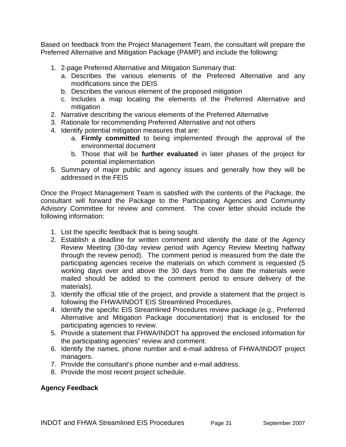<span id="page-33-0"></span>Based on feedback from the Project Management Team, the consultant will prepare the Preferred Alternative and Mitigation Package (PAMP) and include the following:

- 1. 2-page Preferred Alternative and Mitigation Summary that:
	- a. Describes the various elements of the Preferred Alternative and any modifications since the DEIS
	- b. Describes the various element of the proposed mitigation
	- c. Includes a map locating the elements of the Preferred Alternative and mitigation
- 2. Narrative describing the various elements of the Preferred Alternative
- 3. Rationale for recommending Preferred Alternative and not others
- 4. Identify potential mitigation measures that are:
	- a. **Firmly committed** to being implemented through the approval of the environmental document
	- b. Those that will be **further evaluated** in later phases of the project for potential implementation
- 5. Summary of major public and agency issues and generally how they will be addressed in the FEIS

Once the Project Management Team is satisfied with the contents of the Package, the consultant will forward the Package to the Participating Agencies and Community Advisory Committee for review and comment. The cover letter should include the following information:

- 1. List the specific feedback that is being sought.
- 2. Establish a deadline for written comment and identify the date of the Agency Review Meeting (30-day review period with Agency Review Meeting halfway through the review period). The comment period is measured from the date the participating agencies receive the materials on which comment is requested (5 working days over and above the 30 days from the date the materials were mailed should be added to the comment period to ensure delivery of the materials).
- 3. Identify the official title of the project, and provide a statement that the project is following the FHWA/INDOT EIS Streamlined Procedures.
- 4. Identify the specific EIS Streamlined Procedures review package (e.g., Preferred Alternative and Mitigation Package documentation) that is enclosed for the participating agencies to review.
- 5. Provide a statement that FHWA/INDOT ha approved the enclosed information for the participating agencies" review and comment.
- 6. Identify the names, phone number and e-mail address of FHWA/INDOT project managers.
- 7. Provide the consultant's phone number and e-mail address.
- 8. Provide the most recent project schedule.

# **Agency Feedback**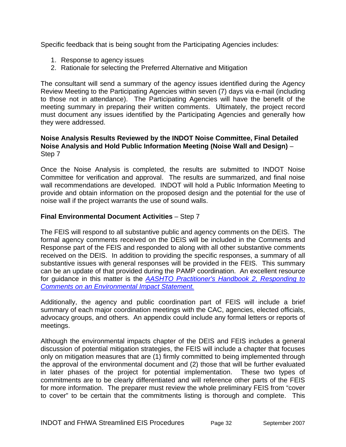<span id="page-34-0"></span>Specific feedback that is being sought from the Participating Agencies includes:

- 1. Response to agency issues
- 2. Rationale for selecting the Preferred Alternative and Mitigation

The consultant will send a summary of the agency issues identified during the Agency Review Meeting to the Participating Agencies within seven (7) days via e-mail (including to those not in attendance). The Participating Agencies will have the benefit of the meeting summary in preparing their written comments. Ultimately, the project record must document any issues identified by the Participating Agencies and generally how they were addressed.

#### **Noise Analysis Results Reviewed by the INDOT Noise Committee, Final Detailed Noise Analysis and Hold Public Information Meeting (Noise Wall and Design)** – Step 7

Once the Noise Analysis is completed, the results are submitted to INDOT Noise Committee for verification and approval. The results are summarized, and final noise wall recommendations are developed. INDOT will hold a Public Information Meeting to provide and obtain information on the proposed design and the potential for the use of noise wall if the project warrants the use of sound walls.

# **Final Environmental Document Activities** – Step 7

The FEIS will respond to all substantive public and agency comments on the DEIS. The formal agency comments received on the DEIS will be included in the Comments and Response part of the FEIS and responded to along with all other substantive comments received on the DEIS. In addition to providing the specific responses, a summary of all substantive issues with general responses will be provided in the FEIS. This summary can be an update of that provided during the PAMP coordination. An excellent resource for guidance in this matter is the *[AASHTO Practitioner's Handbook 2, Responding to](http://www.environment.transportation.org/pdf/PG02.pdf)  [Comments on an Environmental Impact Statement.](http://www.environment.transportation.org/pdf/PG02.pdf)*

Additionally, the agency and public coordination part of FEIS will include a brief summary of each major coordination meetings with the CAC, agencies, elected officials, advocacy groups, and others. An appendix could include any formal letters or reports of meetings.

Although the environmental impacts chapter of the DEIS and FEIS includes a general discussion of potential mitigation strategies, the FEIS will include a chapter that focuses only on mitigation measures that are (1) firmly committed to being implemented through the approval of the environmental document and (2) those that will be further evaluated in later phases of the project for potential implementation. These two types of commitments are to be clearly differentiated and will reference other parts of the FEIS for more information. The preparer must review the whole preliminary FEIS from "cover to cover" to be certain that the commitments listing is thorough and complete. This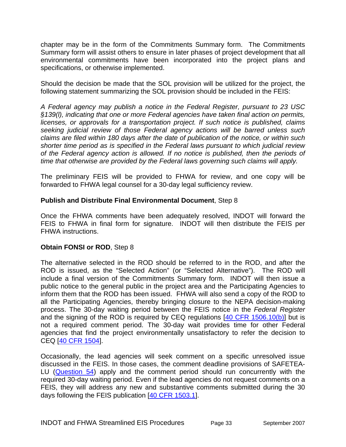<span id="page-35-0"></span>chapter may be in the form of the Commitments Summary form. The Commitments Summary form will assist others to ensure in later phases of project development that all environmental commitments have been incorporated into the project plans and specifications, or otherwise implemented.

Should the decision be made that the SOL provision will be utilized for the project, the following statement summarizing the SOL provision should be included in the FEIS:

*A Federal agency may publish a notice in the Federal Register, pursuant to 23 USC §139(l), indicating that one or more Federal agencies have taken final action on permits, licenses, or approvals for a transportation project. If such notice is published, claims seeking judicial review of those Federal agency actions will be barred unless such claims are filed within 180 days after the date of publication of the notice, or within such shorter time period as is specified in the Federal laws pursuant to which judicial review of the Federal agency action is allowed. If no notice is published, then the periods of time that otherwise are provided by the Federal laws governing such claims will apply.* 

The preliminary FEIS will be provided to FHWA for review, and one copy will be forwarded to FHWA legal counsel for a 30-day legal sufficiency review.

#### **Publish and Distribute Final Environmental Document**, Step 8

Once the FHWA comments have been adequately resolved, INDOT will forward the FEIS to FHWA in final form for signature. INDOT will then distribute the FEIS per FHWA instructions.

#### **Obtain FONSI or ROD**, Step 8

The alternative selected in the ROD should be referred to in the ROD, and after the ROD is issued, as the "Selected Action" (or "Selected Alternative"). The ROD will include a final version of the Commitments Summary form. INDOT will then issue a public notice to the general public in the project area and the Participating Agencies to inform them that the ROD has been issued. FHWA will also send a copy of the ROD to all the Participating Agencies, thereby bringing closure to the NEPA decision-making process. The 30-day waiting period between the FEIS notice in the *Federal Register* and the signing of the ROD is required by CEQ regulations [[40 CFR 1506.10\(b\)](http://www.nepa.gov/nepa/regs/ceq/1506.htm#1506.10)] but is not a required comment period. The 30-day wait provides time for other Federal agencies that find the project environmentally unsatisfactory to refer the decision to CEQ [[40 CFR 1504\]](http://www.nepa.gov/nepa/regs/ceq/1504.htm).

Occasionally, the lead agencies will seek comment on a specific unresolved issue discussed in the FEIS. In those cases, the comment deadline provisions of SAFETEA-LU ([Question 54\)](http://www.fhwa.dot.gov/hep/section6002/2.htm#Toc148770610#Toc148770610) apply and the comment period should run concurrently with the required 30-day waiting period. Even if the lead agencies do not request comments on a FEIS, they will address any new and substantive comments submitted during the 30 days following the FEIS publication [[40 CFR 1503.1\]](http://www.nepa.gov/nepa/regs/ceq/1503.htm#1503.1).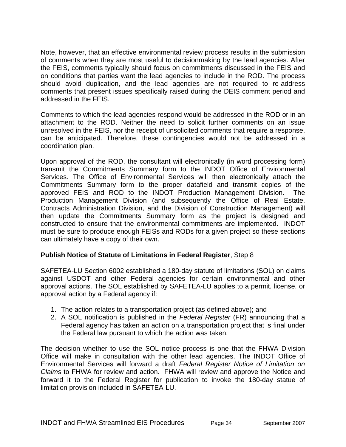<span id="page-36-0"></span>Note, however, that an effective environmental review process results in the submission of comments when they are most useful to decisionmaking by the lead agencies. After the FEIS, comments typically should focus on commitments discussed in the FEIS and on conditions that parties want the lead agencies to include in the ROD. The process should avoid duplication, and the lead agencies are not required to re-address comments that present issues specifically raised during the DEIS comment period and addressed in the FEIS.

Comments to which the lead agencies respond would be addressed in the ROD or in an attachment to the ROD. Neither the need to solicit further comments on an issue unresolved in the FEIS, nor the receipt of unsolicited comments that require a response, can be anticipated. Therefore, these contingencies would not be addressed in a coordination plan.

Upon approval of the ROD, the consultant will electronically (in word processing form) transmit the Commitments Summary form to the INDOT Office of Environmental Services. The Office of Environmental Services will then electronically attach the Commitments Summary form to the proper datafield and transmit copies of the approved FEIS and ROD to the INDOT Production Management Division. The Production Management Division (and subsequently the Office of Real Estate, Contracts Administration Division, and the Division of Construction Management) will then update the Commitments Summary form as the project is designed and constructed to ensure that the environmental commitments are implemented. INDOT must be sure to produce enough FEISs and RODs for a given project so these sections can ultimately have a copy of their own.

# **Publish Notice of Statute of Limitations in Federal Register**, Step 8

SAFETEA-LU Section 6002 established a 180-day statute of limitations (SOL) on claims against USDOT and other Federal agencies for certain environmental and other approval actions. The [SOL established by SAFETEA-LU](http://www.fhwa.dot.gov/hep/section6002/appx.htm#LimitationsOnClaims) applies to a permit, license, or approval action by a Federal agency if:

- 1. The action relates to a transportation project (as [defined above\)](http://www.fhwa.dot.gov/hep/section6002/1.htm#Toc148770547); and
- 2. A SOL notification is published in the *Federal Register* (FR) announcing that a Federal agency has taken an action on a transportation project that is final under the Federal law pursuant to which the action was taken.

The decision whether to use the SOL notice process is one that the FHWA Division Office will make in consultation with the other lead agencies. The INDOT Office of Environmental Services will forward a draft *Federal Register Notice of Limitation on Claims* to FHWA for review and action. FHWA will review and approve the Notice and forward it to the Federal Register for publication to invoke the 180-day statue of limitation provision included in SAFETEA-LU.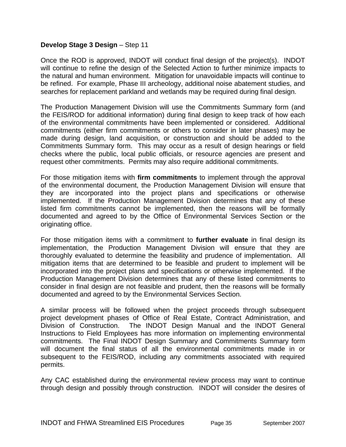#### <span id="page-37-0"></span>**Develop Stage 3 Design** – Step 11

Once the ROD is approved, INDOT will conduct final design of the project(s). INDOT will continue to refine the design of the Selected Action to further minimize impacts to the natural and human environment. Mitigation for unavoidable impacts will continue to be refined. For example, Phase III archeology, additional noise abatement studies, and searches for replacement parkland and wetlands may be required during final design.

The Production Management Division will use the Commitments Summary form (and the FEIS/ROD for additional information) during final design to keep track of how each of the environmental commitments have been implemented or considered. Additional commitments (either firm commitments or others to consider in later phases) may be made during design, land acquisition, or construction and should be added to the Commitments Summary form. This may occur as a result of design hearings or field checks where the public, local public officials, or resource agencies are present and request other commitments. Permits may also require additional commitments.

For those mitigation items with **firm commitments** to implement through the approval of the environmental document, the Production Management Division will ensure that they are incorporated into the project plans and specifications or otherwise implemented. If the Production Management Division determines that any of these listed firm commitments cannot be implemented, then the reasons will be formally documented and agreed to by the Office of Environmental Services Section or the originating office.

For those mitigation items with a commitment to **further evaluate** in final design its implementation, the Production Management Division will ensure that they are thoroughly evaluated to determine the feasibility and prudence of implementation. All mitigation items that are determined to be feasible and prudent to implement will be incorporated into the project plans and specifications or otherwise implemented. If the Production Management Division determines that any of these listed commitments to consider in final design are not feasible and prudent, then the reasons will be formally documented and agreed to by the Environmental Services Section.

A similar process will be followed when the project proceeds through subsequent project development phases of Office of Real Estate, Contract Administration, and Division of Construction. The INDOT Design Manual and the INDOT General Instructions to Field Employees has more information on implementing environmental commitments. The Final INDOT Design Summary and Commitments Summary form will document the final status of all the environmental commitments made in or subsequent to the FEIS/ROD, including any commitments associated with required permits.

Any CAC established during the environmental review process may want to continue through design and possibly through construction. INDOT will consider the desires of